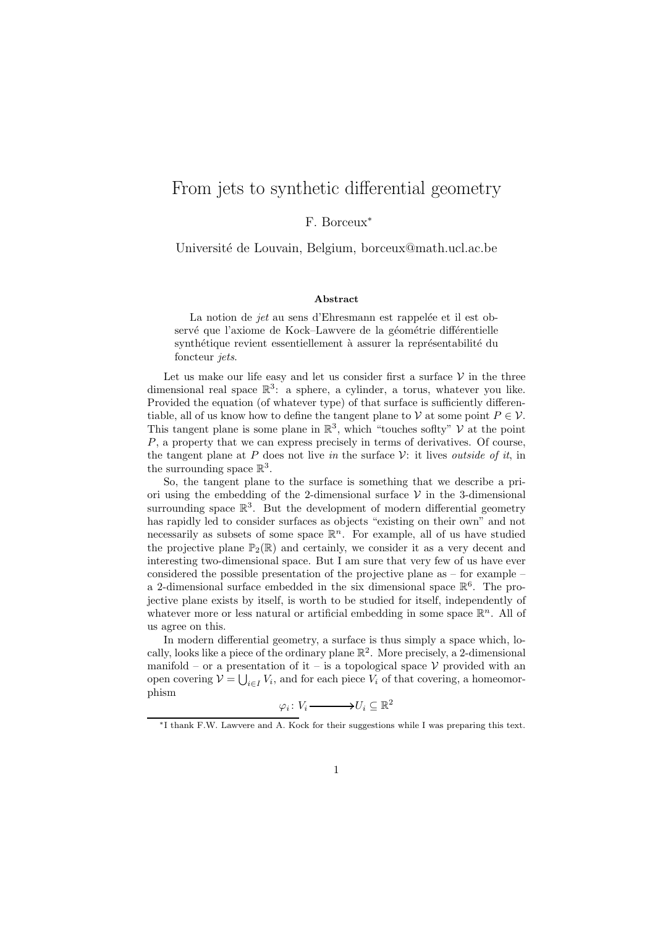## From jets to synthetic differential geometry

## F. Borceux<sup>∗</sup>

Universit´e de Louvain, Belgium, borceux@math.ucl.ac.be

## Abstract

La notion de jet au sens d'Ehresmann est rappelée et il est observé que l'axiome de Kock–Lawvere de la géométrie différentielle synthétique revient essentiellement à assurer la représentabilité du foncteur *jets*.

Let us make our life easy and let us consider first a surface  $\mathcal V$  in the three dimensional real space  $\mathbb{R}^3$ : a sphere, a cylinder, a torus, whatever you like. Provided the equation (of whatever type) of that surface is sufficiently differentiable, all of us know how to define the tangent plane to V at some point  $P \in V$ . This tangent plane is some plane in  $\mathbb{R}^3$ , which "touches soflty"  $\mathcal{V}$  at the point P, a property that we can express precisely in terms of derivatives. Of course, the tangent plane at P does not live in the surface  $\mathcal V$ : it lives outside of it, in the surrounding space  $\mathbb{R}^3$ .

So, the tangent plane to the surface is something that we describe a priori using the embedding of the 2-dimensional surface  $\mathcal V$  in the 3-dimensional surrounding space  $\mathbb{R}^3$ . But the development of modern differential geometry has rapidly led to consider surfaces as objects "existing on their own" and not necessarily as subsets of some space  $\mathbb{R}^n$ . For example, all of us have studied the projective plane  $\mathbb{P}_2(\mathbb{R})$  and certainly, we consider it as a very decent and interesting two-dimensional space. But I am sure that very few of us have ever considered the possible presentation of the projective plane as – for example – a 2-dimensional surface embedded in the six dimensional space  $\mathbb{R}^6$ . The projective plane exists by itself, is worth to be studied for itself, independently of whatever more or less natural or artificial embedding in some space  $\mathbb{R}^n$ . All of us agree on this.

In modern differential geometry, a surface is thus simply a space which, locally, looks like a piece of the ordinary plane  $\mathbb{R}^2$ . More precisely, a 2-dimensional manifold – or a presentation of it – is a topological space  $V$  provided with an open covering  $V = \bigcup_{i \in I} V_i$ , and for each piece  $V_i$  of that covering, a homeomorphism

$$
\varphi_i\colon V_i \longrightarrow U_i \subseteq \mathbb{R}^2
$$

<sup>∗</sup>I thank F.W. Lawvere and A. Kock for their suggestions while I was preparing this text.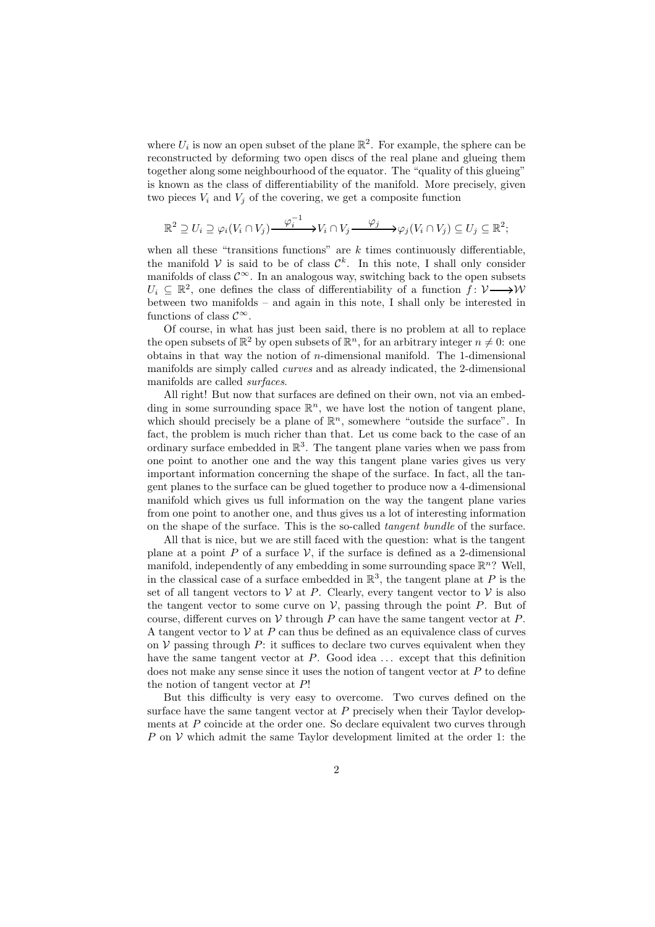where  $U_i$  is now an open subset of the plane  $\mathbb{R}^2$ . For example, the sphere can be reconstructed by deforming two open discs of the real plane and glueing them together along some neighbourhood of the equator. The "quality of this glueing" is known as the class of differentiability of the manifold. More precisely, given two pieces  $V_i$  and  $V_j$  of the covering, we get a composite function

$$
\mathbb{R}^2 \supseteq U_i \supseteq \varphi_i(V_i \cap V_j) \xrightarrow{\varphi_i^{-1}} V_i \cap V_j \xrightarrow{\varphi_j} \varphi_j(V_i \cap V_j) \subseteq U_j \subseteq \mathbb{R}^2;
$$

when all these "transitions functions" are  $k$  times continuously differentiable. the manifold V is said to be of class  $\mathcal{C}^k$ . In this note, I shall only consider manifolds of class  $\mathcal{C}^{\infty}$ . In an analogous way, switching back to the open subsets  $U_i \subseteq \mathbb{R}^2$ , one defines the class of differentiability of a function  $\hat{f}: \mathcal{V} \longrightarrow \mathcal{W}$ between two manifolds – and again in this note, I shall only be interested in functions of class  $\mathcal{C}^{\infty}$ .

Of course, in what has just been said, there is no problem at all to replace the open subsets of  $\mathbb{R}^2$  by open subsets of  $\mathbb{R}^n$ , for an arbitrary integer  $n \neq 0$ : one obtains in that way the notion of  $n$ -dimensional manifold. The 1-dimensional manifolds are simply called curves and as already indicated, the 2-dimensional manifolds are called surfaces.

All right! But now that surfaces are defined on their own, not via an embedding in some surrounding space  $\mathbb{R}^n$ , we have lost the notion of tangent plane, which should precisely be a plane of  $\mathbb{R}^n$ , somewhere "outside the surface". In fact, the problem is much richer than that. Let us come back to the case of an ordinary surface embedded in  $\mathbb{R}^3$ . The tangent plane varies when we pass from one point to another one and the way this tangent plane varies gives us very important information concerning the shape of the surface. In fact, all the tangent planes to the surface can be glued together to produce now a 4-dimensional manifold which gives us full information on the way the tangent plane varies from one point to another one, and thus gives us a lot of interesting information on the shape of the surface. This is the so-called tangent bundle of the surface.

All that is nice, but we are still faced with the question: what is the tangent plane at a point P of a surface  $\mathcal V$ , if the surface is defined as a 2-dimensional manifold, independently of any embedding in some surrounding space  $\mathbb{R}^n$ ? Well, in the classical case of a surface embedded in  $\mathbb{R}^3$ , the tangent plane at P is the set of all tangent vectors to  $V$  at P. Clearly, every tangent vector to  $V$  is also the tangent vector to some curve on  $V$ , passing through the point  $P$ . But of course, different curves on  $V$  through  $P$  can have the same tangent vector at  $P$ . A tangent vector to  $V$  at  $P$  can thus be defined as an equivalence class of curves on  $\mathcal V$  passing through P: it suffices to declare two curves equivalent when they have the same tangent vector at  $P$ . Good idea  $\dots$  except that this definition does not make any sense since it uses the notion of tangent vector at  $P$  to define the notion of tangent vector at P!

But this difficulty is very easy to overcome. Two curves defined on the surface have the same tangent vector at  $P$  precisely when their Taylor developments at P coincide at the order one. So declare equivalent two curves through P on  $V$  which admit the same Taylor development limited at the order 1: the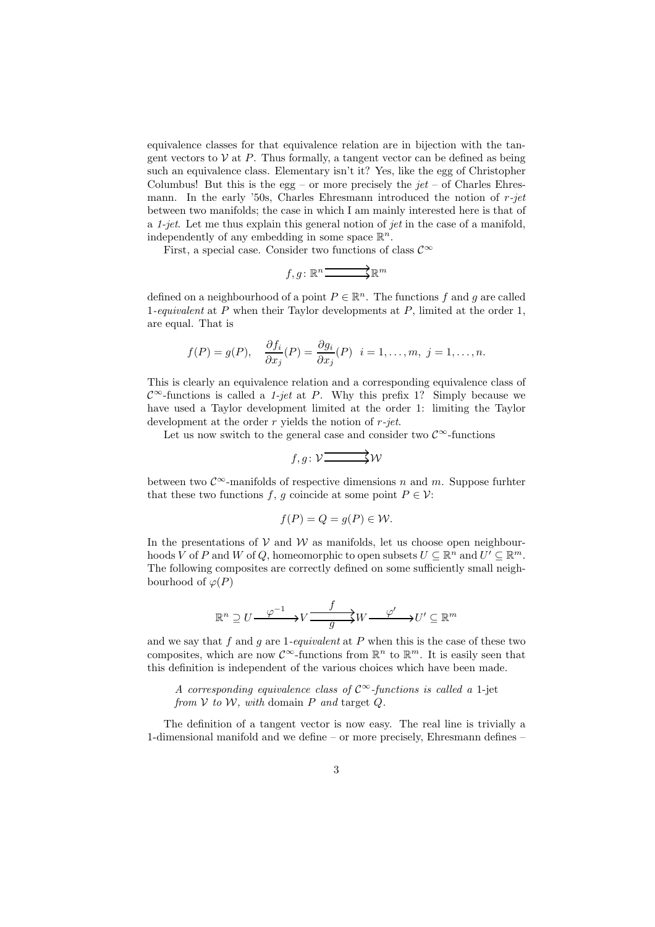equivalence classes for that equivalence relation are in bijection with the tangent vectors to  $V$  at  $P$ . Thus formally, a tangent vector can be defined as being such an equivalence class. Elementary isn't it? Yes, like the egg of Christopher Columbus! But this is the egg – or more precisely the  $jet$  – of Charles Ehresmann. In the early '50s, Charles Ehresmann introduced the notion of  $r$ -jet between two manifolds; the case in which I am mainly interested here is that of a 1-jet. Let me thus explain this general notion of jet in the case of a manifold, independently of any embedding in some space  $\mathbb{R}^n$ .

First, a special case. Consider two functions of class  $\mathcal{C}^{\infty}$ 

$$
f,g\colon \mathbb{R}^n \overbrace{\qquad \qquad }^{\textstyle\ast} \mathbb{R}^m
$$

defined on a neighbourhood of a point  $P \in \mathbb{R}^n$ . The functions f and g are called 1-equivalent at P when their Taylor developments at P, limited at the order 1, are equal. That is

$$
f(P) = g(P),
$$
  $\frac{\partial f_i}{\partial x_j}(P) = \frac{\partial g_i}{\partial x_j}(P)$   $i = 1, ..., m, j = 1, ..., n.$ 

This is clearly an equivalence relation and a corresponding equivalence class of  $\mathcal{C}^{\infty}$ -functions is called a 1-jet at P. Why this prefix 1? Simply because we have used a Taylor development limited at the order 1: limiting the Taylor development at the order  $r$  yields the notion of  $r$ -jet.

Let us now switch to the general case and consider two  $\mathcal{C}^\infty\text{-functions}$ 

$$
f,g\colon \mathcal{V}\overrightarrow{\xrightarrow{\hspace{0.5cm}}} \mathcal{W}
$$

between two  $\mathcal{C}^{\infty}$ -manifolds of respective dimensions n and m. Suppose further that these two functions f, g coincide at some point  $P \in \mathcal{V}$ :

$$
f(P) = Q = g(P) \in \mathcal{W}.
$$

In the presentations of  $V$  and  $W$  as manifolds, let us choose open neighbourhoods V of P and W of Q, homeomorphic to open subsets  $U \subseteq \mathbb{R}^n$  and  $U' \subseteq \mathbb{R}^m$ . The following composites are correctly defined on some sufficiently small neighbourhood of  $\varphi(P)$ 

$$
\mathbb{R}^n\supseteq U\frac{\varphi^{-1}}{\longrightarrow}V\frac{f}{\longrightarrow}W\frac{\varphi'}{\longrightarrow}W'\subseteq\mathbb{R}^m
$$

and we say that f and q are 1-equivalent at P when this is the case of these two composites, which are now  $\mathcal{C}^{\infty}$ -functions from  $\mathbb{R}^{n}$  to  $\mathbb{R}^{m}$ . It is easily seen that this definition is independent of the various choices which have been made.

A corresponding equivalence class of  $\mathcal{C}^{\infty}$ -functions is called a 1-jet from  $V$  to  $W$ , with domain  $P$  and target  $Q$ .

The definition of a tangent vector is now easy. The real line is trivially a 1-dimensional manifold and we define – or more precisely, Ehresmann defines –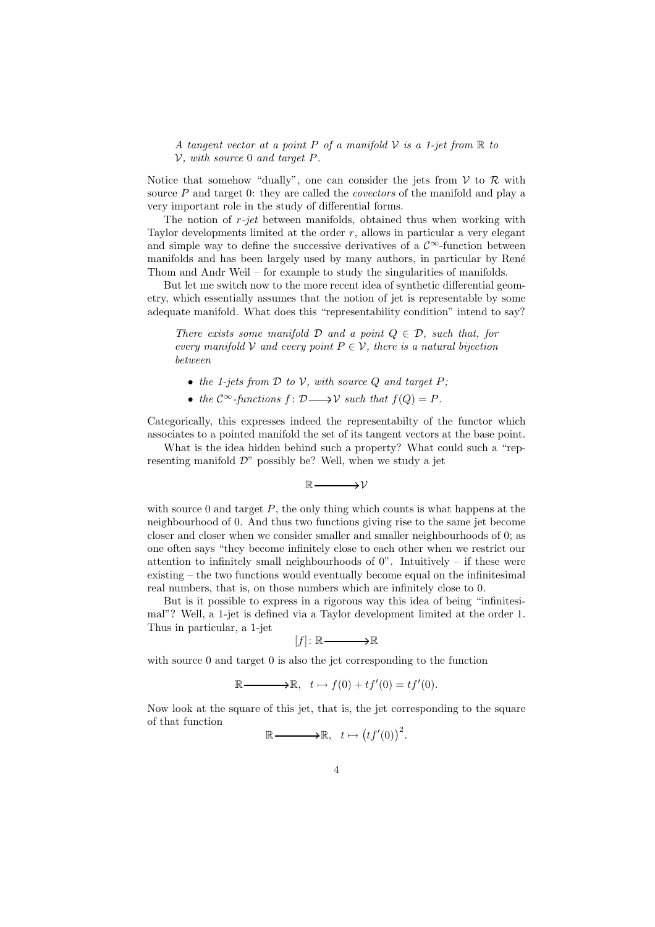A tangent vector at a point P of a manifold  $\mathcal V$  is a 1-jet from  $\mathbb R$  to  $V$ , with source 0 and target P.

Notice that somehow "dually", one can consider the jets from  $V$  to  $R$  with source  $P$  and target 0: they are called the *covectors* of the manifold and play a very important role in the study of differential forms.

The notion of  $r$ -jet between manifolds, obtained thus when working with Taylor developments limited at the order  $r$ , allows in particular a very elegant and simple way to define the successive derivatives of a  $\mathcal{C}^{\infty}$ -function between manifolds and has been largely used by many authors, in particular by René Thom and Andr Weil – for example to study the singularities of manifolds.

But let me switch now to the more recent idea of synthetic differential geometry, which essentially assumes that the notion of jet is representable by some adequate manifold. What does this "representability condition" intend to say?

There exists some manifold  $D$  and a point  $O \in \mathcal{D}$ , such that, for every manifold V and every point  $P \in V$ , there is a natural bijection between

- the 1-jets from  $D$  to  $V$ , with source  $Q$  and target  $P$ ;
- the  $\mathcal{C}^{\infty}$ -functions  $f: \mathcal{D} \longrightarrow \mathcal{V}$  such that  $f(Q) = P$ .

Categorically, this expresses indeed the representabilty of the functor which associates to a pointed manifold the set of its tangent vectors at the base point.

What is the idea hidden behind such a property? What could such a "representing manifold  $\mathcal{D}$ " possibly be? Well, when we study a jet

 $\mathbb{R}$   $\longrightarrow$   $\mathcal{V}$ 

with source 0 and target  $P$ , the only thing which counts is what happens at the neighbourhood of 0. And thus two functions giving rise to the same jet become closer and closer when we consider smaller and smaller neighbourhoods of 0; as one often says "they become infinitely close to each other when we restrict our attention to infinitely small neighbourhoods of  $0$ ". Intuitively – if these were existing – the two functions would eventually become equal on the infinitesimal real numbers, that is, on those numbers which are infinitely close to 0.

But is it possible to express in a rigorous way this idea of being "infinitesimal"? Well, a 1-jet is defined via a Taylor development limited at the order 1. Thus in particular, a 1-jet

$$
[f] \colon \mathbb{R} \longrightarrow \mathbb{R}
$$

with source 0 and target 0 is also the jet corresponding to the function

$$
\mathbb{R}\longrightarrow \mathbb{R}, \quad t\mapsto f(0)+tf'(0)=tf'(0).
$$

Now look at the square of this jet, that is, the jet corresponding to the square of that function

.

$$
\mathbb{R}\longrightarrow \mathbb{R}, \quad t \mapsto \left(tf'(0)\right)^2
$$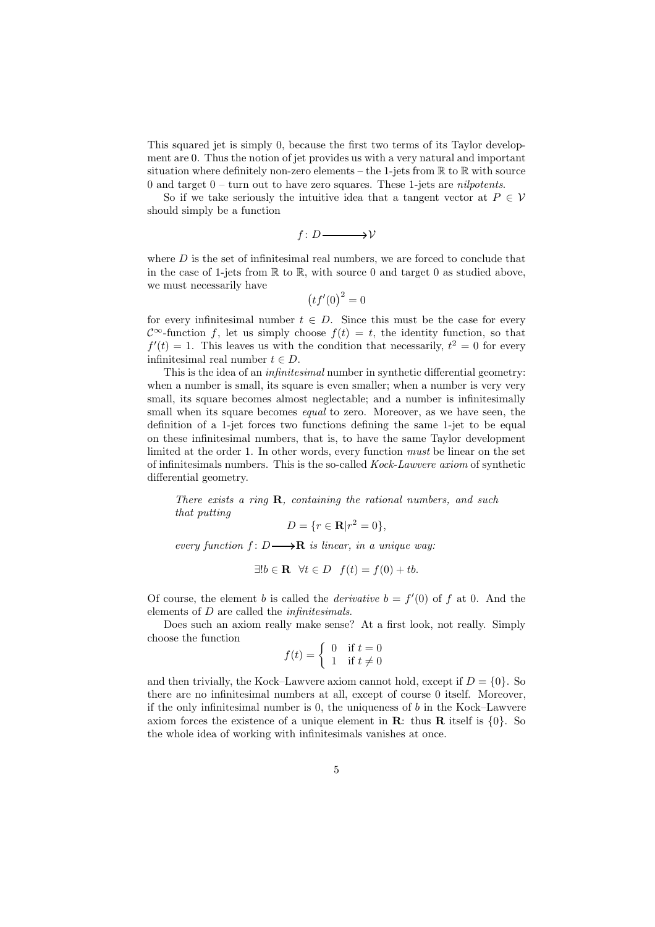This squared jet is simply 0, because the first two terms of its Taylor development are 0. Thus the notion of jet provides us with a very natural and important situation where definitely non-zero elements – the 1-jets from  $\mathbb R$  to  $\mathbb R$  with source 0 and target  $0$  – turn out to have zero squares. These 1-jets are *nilpotents*.

So if we take seriously the intuitive idea that a tangent vector at  $P \in V$ should simply be a function

 $f: D \longrightarrow V$ 

where  $D$  is the set of infinitesimal real numbers, we are forced to conclude that in the case of 1-jets from  $\mathbb R$  to  $\mathbb R$ , with source 0 and target 0 as studied above, we must necessarily have

 $(t f'(0)^2 = 0$ 

for every infinitesimal number  $t \in D$ . Since this must be the case for every  $\mathcal{C}^{\infty}$ -function f, let us simply choose  $f(t) = t$ , the identity function, so that  $f'(t) = 1$ . This leaves us with the condition that necessarily,  $t^2 = 0$  for every infinitesimal real number  $t \in D$ .

This is the idea of an *infinitesimal* number in synthetic differential geometry: when a number is small, its square is even smaller; when a number is very very small, its square becomes almost neglectable; and a number is infinitesimally small when its square becomes equal to zero. Moreover, as we have seen, the definition of a 1-jet forces two functions defining the same 1-jet to be equal on these infinitesimal numbers, that is, to have the same Taylor development limited at the order 1. In other words, every function must be linear on the set of infinitesimals numbers. This is the so-called Kock-Lawvere axiom of synthetic differential geometry.

There exists a ring  $\mathbf R$ , containing the rational numbers, and such that putting

$$
D = \{r \in \mathbf{R} | r^2 = 0\},\
$$

every function  $f: D \longrightarrow \mathbf{R}$  is linear, in a unique way:

$$
\exists! b \in \mathbf{R} \quad \forall t \in D \quad f(t) = f(0) + tb.
$$

Of course, the element b is called the *derivative*  $b = f'(0)$  of f at 0. And the elements of D are called the infinitesimals.

Does such an axiom really make sense? At a first look, not really. Simply choose the function

$$
f(t) = \begin{cases} 0 & \text{if } t = 0\\ 1 & \text{if } t \neq 0 \end{cases}
$$

and then trivially, the Kock–Lawvere axiom cannot hold, except if  $D = \{0\}$ . So there are no infinitesimal numbers at all, except of course 0 itself. Moreover, if the only infinitesimal number is  $0$ , the uniqueness of  $b$  in the Kock–Lawvere axiom forces the existence of a unique element in  $\mathbf{R}$ : thus  $\mathbf{R}$  itself is  $\{0\}$ . So the whole idea of working with infinitesimals vanishes at once.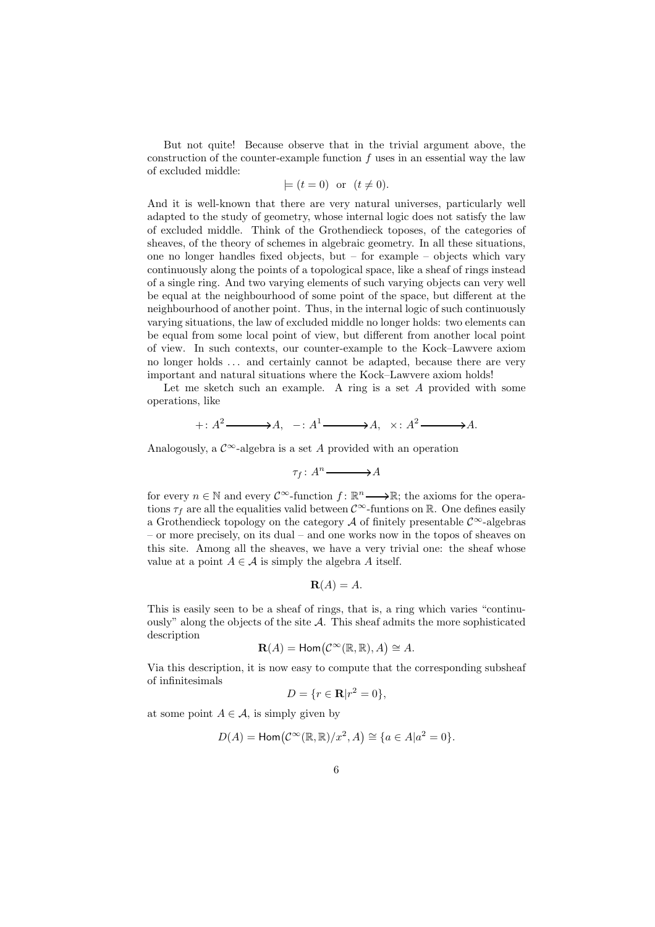But not quite! Because observe that in the trivial argument above, the construction of the counter-example function  $f$  uses in an essential way the law of excluded middle:

$$
\models
$$
  $(t = 0)$  or  $(t \neq 0)$ .

And it is well-known that there are very natural universes, particularly well adapted to the study of geometry, whose internal logic does not satisfy the law of excluded middle. Think of the Grothendieck toposes, of the categories of sheaves, of the theory of schemes in algebraic geometry. In all these situations, one no longer handles fixed objects, but – for example – objects which vary continuously along the points of a topological space, like a sheaf of rings instead of a single ring. And two varying elements of such varying objects can very well be equal at the neighbourhood of some point of the space, but different at the neighbourhood of another point. Thus, in the internal logic of such continuously varying situations, the law of excluded middle no longer holds: two elements can be equal from some local point of view, but different from another local point of view. In such contexts, our counter-example to the Kock–Lawvere axiom no longer holds . . . and certainly cannot be adapted, because there are very important and natural situations where the Kock–Lawvere axiom holds!

Let me sketch such an example. A ring is a set A provided with some operations, like

$$
+ : A^2 \longrightarrow A, \quad - : A^1 \longrightarrow A, \quad \times : A^2 \longrightarrow A.
$$

Analogously, a  $\mathcal{C}^{\infty}$ -algebra is a set A provided with an operation

$$
\tau_f \colon A^n \longrightarrow A
$$

for every  $n \in \mathbb{N}$  and every  $\mathcal{C}^{\infty}$ -function  $f: \mathbb{R}^n \longrightarrow \mathbb{R}$ ; the axioms for the operations  $\tau_f$  are all the equalities valid between  $\mathcal{C}^{\infty}$ -funtions on R. One defines easily a Grothendieck topology on the category A of finitely presentable  $\mathcal{C}^{\infty}$ -algebras – or more precisely, on its dual – and one works now in the topos of sheaves on this site. Among all the sheaves, we have a very trivial one: the sheaf whose value at a point  $A \in \mathcal{A}$  is simply the algebra A itself.

$$
\mathbf{R}(A) = A.
$$

This is easily seen to be a sheaf of rings, that is, a ring which varies "continuously" along the objects of the site  $A$ . This sheaf admits the more sophisticated description

$$
\mathbf{R}(A) = \mathsf{Hom}\big(\mathcal{C}^{\infty}(\mathbb{R}, \mathbb{R}), A\big) \cong A.
$$

Via this description, it is now easy to compute that the corresponding subsheaf of infinitesimals

$$
D = \{r \in \mathbf{R} | r^2 = 0\},\
$$

at some point  $A \in \mathcal{A}$ , is simply given by

$$
D(A) = \text{Hom}\big(\mathcal{C}^{\infty}(\mathbb{R}, \mathbb{R})/x^2, A\big) \cong \{a \in A | a^2 = 0\}.
$$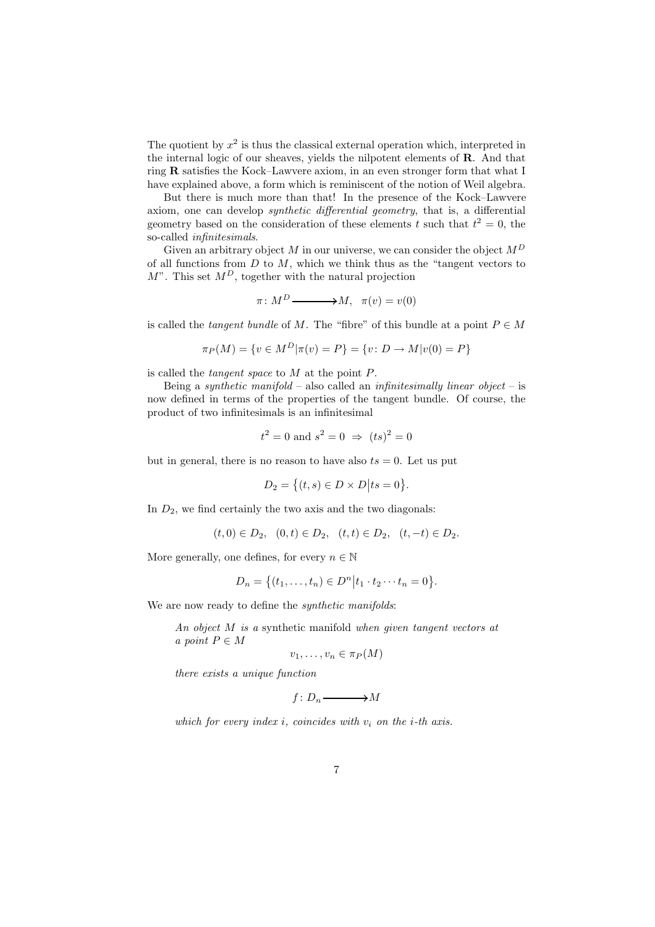The quotient by  $x^2$  is thus the classical external operation which, interpreted in the internal logic of our sheaves, yields the nilpotent elements of R. And that ring R satisfies the Kock–Lawvere axiom, in an even stronger form that what I have explained above, a form which is reminiscent of the notion of Weil algebra.

But there is much more than that! In the presence of the Kock–Lawvere axiom, one can develop synthetic differential geometry, that is, a differential geometry based on the consideration of these elements t such that  $t^2 = 0$ , the so-called infinitesimals.

Given an arbitrary object  $M$  in our universe, we can consider the object  $M^D$ of all functions from  $D$  to  $M$ , which we think thus as the "tangent vectors to  $M^"$ . This set  $M^D$ , together with the natural projection

$$
\pi \colon M^D \longrightarrow M, \quad \pi(v) = v(0)
$$

is called the *tangent bundle* of M. The "fibre" of this bundle at a point  $P \in M$ 

$$
\pi_P(M) = \{ v \in M^D | \pi(v) = P \} = \{ v \colon D \to M | v(0) = P \}
$$

is called the tangent space to M at the point P.

Being a synthetic manifold – also called an infinitesimally linear object – is now defined in terms of the properties of the tangent bundle. Of course, the product of two infinitesimals is an infinitesimal

$$
t^2 = 0
$$
 and  $s^2 = 0 \Rightarrow (ts)^2 = 0$ 

but in general, there is no reason to have also  $ts = 0$ . Let us put

$$
D_2 = \{(t,s) \in D \times D | ts = 0\}.
$$

In  $D_2$ , we find certainly the two axis and the two diagonals:

$$
(t,0) \in D_2
$$
,  $(0,t) \in D_2$ ,  $(t,t) \in D_2$ ,  $(t,-t) \in D_2$ .

More generally, one defines, for every  $n \in \mathbb{N}$ 

$$
D_n = \{(t_1, ..., t_n) \in D^n | t_1 \cdot t_2 \cdots t_n = 0\}.
$$

We are now ready to define the *synthetic manifolds*:

An object M is a synthetic manifold when given tangent vectors at a point  $P \in M$ 

$$
v_1,\ldots,v_n\in\pi_P(M)
$$

there exists a unique function

$$
f\colon D_n\longrightarrow M
$$

which for every index *i*, coincides with  $v_i$  on the *i*-th axis.